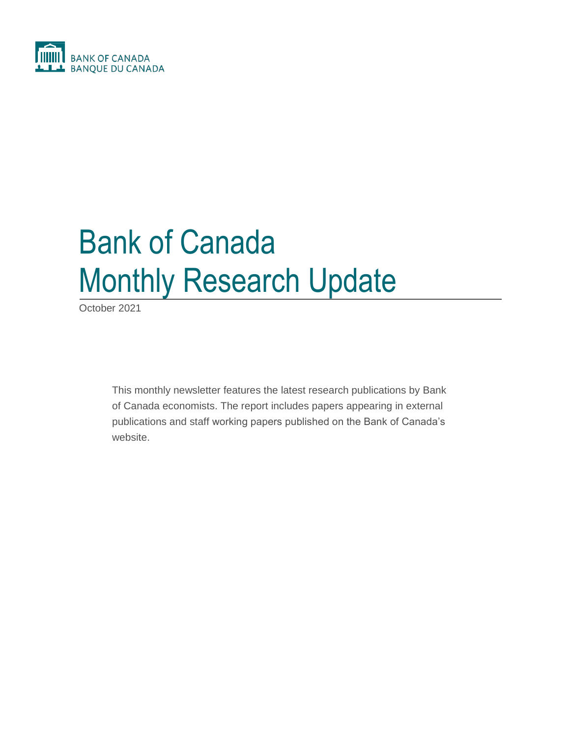

# Bank of Canada Monthly Research Update

October 2021

This monthly newsletter features the latest research publications by Bank of Canada economists. The report includes papers appearing in external publications and staff working papers published on the Bank of Canada's website.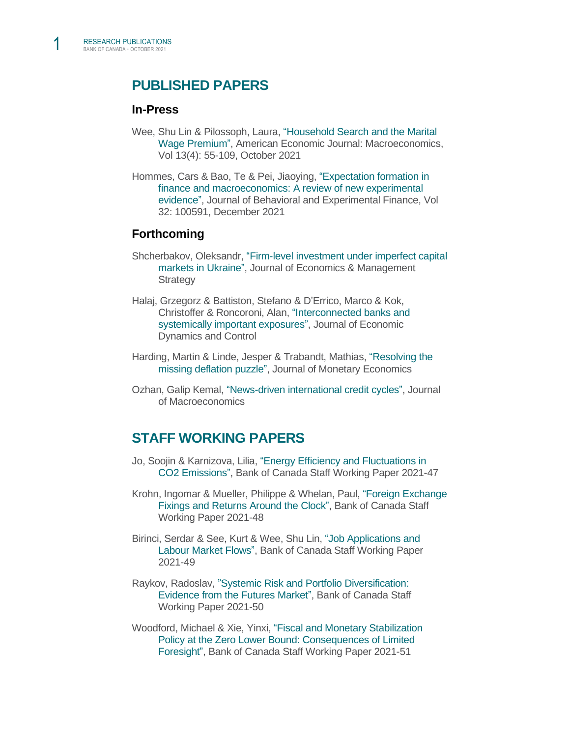## **PUBLISHED PAPERS**

#### **In-Press**

- Wee, Shu Lin & Pilossoph, Laura, ["Household Search and the Marital](https://www.aeaweb.org/articles?id=10.1257/mac.20180092)  [Wage Premium",](https://www.aeaweb.org/articles?id=10.1257/mac.20180092) American Economic Journal: Macroeconomics, Vol 13(4): 55-109, October 2021
- Hommes, Cars & Bao, Te & Pei, Jiaoying, ["Expectation formation in](https://www.sciencedirect.com/science/article/pii/S2214635021001350)  [finance and macroeconomics: A review of new experimental](https://www.sciencedirect.com/science/article/pii/S2214635021001350)  [evidence",](https://www.sciencedirect.com/science/article/pii/S2214635021001350) Journal of Behavioral and Experimental Finance, Vol 32: 100591, December 2021

#### **Forthcoming**

- Shcherbakov, Oleksandr[, "Firm-level investment under imperfect capital](https://onlinelibrary.wiley.com/doi/10.1111/jems.12458)  [markets in Ukraine",](https://onlinelibrary.wiley.com/doi/10.1111/jems.12458) Journal of Economics & Management **Strategy**
- Halaj, Grzegorz & Battiston, Stefano & D'Errico, Marco & Kok, Christoffer & Roncoroni, Alan, ["Interconnected banks and](https://www.sciencedirect.com/science/article/pii/S0165188921002013)  [systemically important exposures",](https://www.sciencedirect.com/science/article/pii/S0165188921002013) Journal of Economic Dynamics and Control
- Harding, Martin & Linde, Jesper & Trabandt, Mathias, ["Resolving the](https://www.sciencedirect.com/science/article/pii/S0304393221000969?v=s5)  [missing deflation puzzle",](https://www.sciencedirect.com/science/article/pii/S0304393221000969?v=s5) Journal of Monetary Economics
- Ozhan, Galip Kemal, ["News-driven international credit cycles",](https://www.sciencedirect.com/science/article/pii/S0164070421000719) Journal of Macroeconomics

### **STAFF WORKING PAPERS**

- Jo, Soojin & Karnizova, Lilia, ["Energy Efficiency and Fluctuations in](https://www.bankofcanada.ca/2021/10/staff-working-paper-2021-47/)  [CO2 Emissions",](https://www.bankofcanada.ca/2021/10/staff-working-paper-2021-47/) Bank of Canada Staff Working Paper 2021-47
- Krohn, Ingomar & Mueller, Philippe & Whelan, Paul, ["Foreign Exchange](https://www.bankofcanada.ca/2021/10/staff-working-paper-2021-48/)  [Fixings and Returns Around the Clock",](https://www.bankofcanada.ca/2021/10/staff-working-paper-2021-48/) Bank of Canada Staff Working Paper 2021-48
- Birinci, Serdar & See, Kurt & Wee, Shu Lin, ["Job Applications and](https://www.bankofcanada.ca/2021/10/staff-working-paper-2021-49/)  [Labour Market Flows",](https://www.bankofcanada.ca/2021/10/staff-working-paper-2021-49/) Bank of Canada Staff Working Paper 2021-49
- Raykov, Radoslav, ["Systemic Risk and Portfolio Diversification:](https://www.bankofcanada.ca/2021/10/staff-working-paper-2021-50/)  [Evidence from the Futures Market",](https://www.bankofcanada.ca/2021/10/staff-working-paper-2021-50/) Bank of Canada Staff Working Paper 2021-50
- Woodford, Michael & Xie, Yinxi, ["Fiscal and Monetary Stabilization](https://www.bankofcanada.ca/2021/10/staff-working-paper-2021-51/)  [Policy at the Zero Lower Bound: Consequences of Limited](https://www.bankofcanada.ca/2021/10/staff-working-paper-2021-51/)  [Foresight",](https://www.bankofcanada.ca/2021/10/staff-working-paper-2021-51/) Bank of Canada Staff Working Paper 2021-51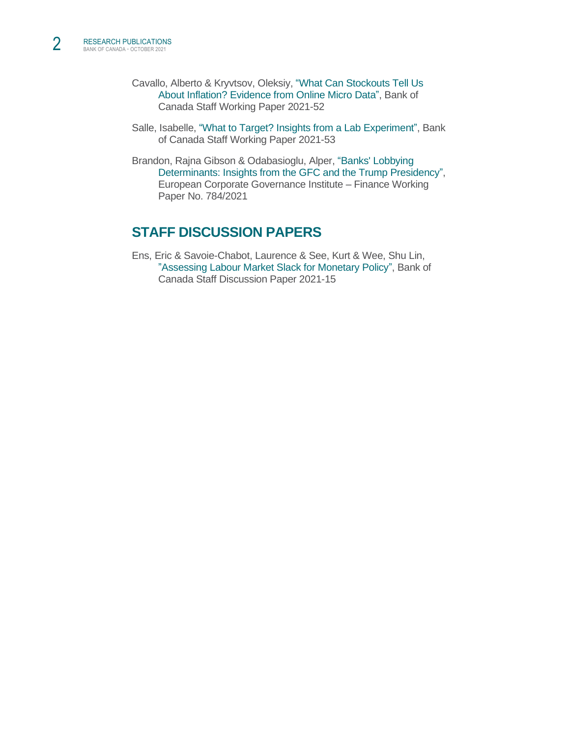- Cavallo, Alberto & Kryvtsov, Oleksiy, ["What Can Stockouts Tell Us](https://www.bankofcanada.ca/2021/10/staff-working-paper-2021-52/)  [About Inflation? Evidence from Online Micro Data",](https://www.bankofcanada.ca/2021/10/staff-working-paper-2021-52/) Bank of Canada Staff Working Paper 2021-52
- Salle, Isabelle, ["What to Target? Insights from a Lab Experiment",](https://www.bankofcanada.ca/2021/10/staff-working-paper-2021-53/) Bank of Canada Staff Working Paper 2021-53
- Brandon, Rajna Gibson & Odabasioglu, Alper, ["Banks' Lobbying](https://papers.ssrn.com/sol3/papers.cfm?abstract_id=1785435)  [Determinants: Insights from the GFC and the Trump Presidency",](https://papers.ssrn.com/sol3/papers.cfm?abstract_id=1785435) European Corporate Governance Institute – Finance Working Paper No. 784/2021

# **STAFF DISCUSSION PAPERS**

Ens, Eric & Savoie-Chabot, Laurence & See, Kurt & Wee, Shu Lin[,](https://www.bankofcanada.ca/2021/10/staff-discussion-paper-2021-15/) ["Assessing Labour Market Slack for Monetary Policy",](https://www.bankofcanada.ca/2021/10/staff-discussion-paper-2021-15/) Bank of Canada Staff Discussion Paper 2021-15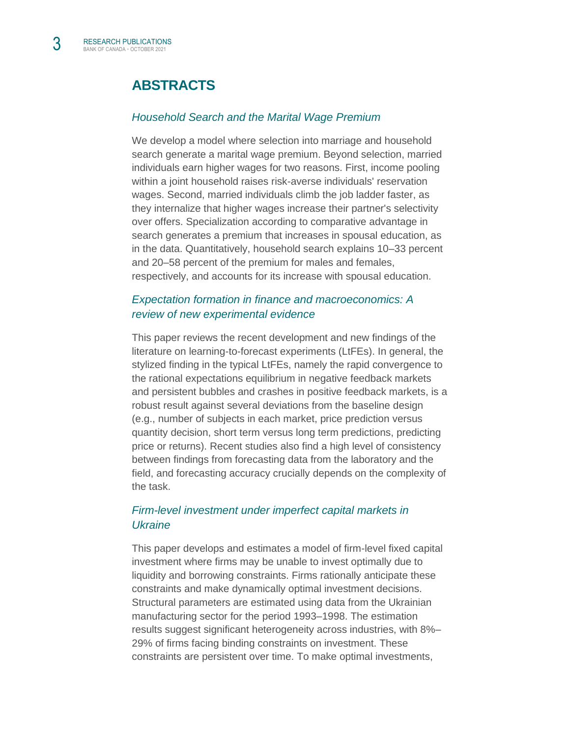# **ABSTRACTS**

#### *[Household Search and the Marital Wage Premium](https://www.aeaweb.org/articles?id=10.1257/mac.20180092)*

We develop a model where selection into marriage and household search generate a marital wage premium. Beyond selection, married individuals earn higher wages for two reasons. First, income pooling within a joint household raises risk-averse individuals' reservation wages. Second, married individuals climb the job ladder faster, as they internalize that higher wages increase their partner's selectivity over offers. Specialization according to comparative advantage in search generates a premium that increases in spousal education, as in the data. Quantitatively, household search explains 10–33 percent and 20–58 percent of the premium for males and females, respectively, and accounts for its increase with spousal education.

#### *[Expectation formation in finance and macroeconomics: A](https://www.sciencedirect.com/science/article/pii/S2214635021001350)  [review of new experimental evidence](https://www.sciencedirect.com/science/article/pii/S2214635021001350)*

This paper reviews the recent development and new findings of the literature on learning-to-forecast experiments (LtFEs). In general, the stylized finding in the typical LtFEs, namely the rapid convergence to the rational expectations equilibrium in negative feedback markets and persistent bubbles and crashes in positive feedback markets, is a robust result against several deviations from the baseline design (e.g., number of subjects in each market, price prediction versus quantity decision, short term versus long term predictions, predicting price or returns). Recent studies also find a high level of consistency between findings from forecasting data from the laboratory and the field, and forecasting accuracy crucially depends on the complexity of the task.

#### *[Firm-level investment under imperfect capital markets in](https://onlinelibrary.wiley.com/doi/10.1111/jems.12458)  [Ukraine](https://onlinelibrary.wiley.com/doi/10.1111/jems.12458)*

This paper develops and estimates a model of firm-level fixed capital investment where firms may be unable to invest optimally due to liquidity and borrowing constraints. Firms rationally anticipate these constraints and make dynamically optimal investment decisions. Structural parameters are estimated using data from the Ukrainian manufacturing sector for the period 1993–1998. The estimation results suggest significant heterogeneity across industries, with 8%– 29% of firms facing binding constraints on investment. These constraints are persistent over time. To make optimal investments,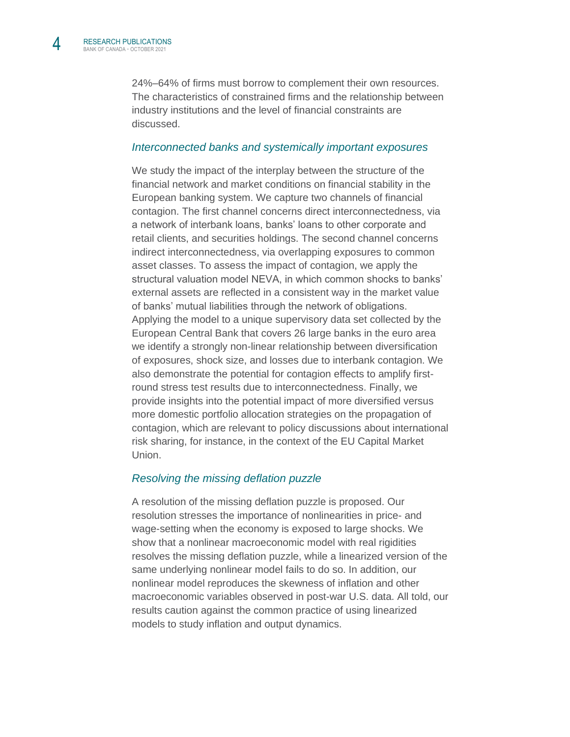24%–64% of firms must borrow to complement their own resources. The characteristics of constrained firms and the relationship between industry institutions and the level of financial constraints are discussed.

#### *[Interconnected banks and systemically important exposures](https://www.sciencedirect.com/science/article/pii/S0165188921002013)*

We study the impact of the interplay between the structure of the financial network and market conditions on financial stability in the European banking system. We capture two channels of financial contagion. The first channel concerns direct interconnectedness, via a network of interbank loans, banks' loans to other corporate and retail clients, and securities holdings. The second channel concerns indirect interconnectedness, via overlapping exposures to common asset classes. To assess the impact of contagion, we apply the structural valuation model NEVA, in which common shocks to banks' external assets are reflected in a consistent way in the market value of banks' mutual liabilities through the network of obligations. Applying the model to a unique supervisory data set collected by the European Central Bank that covers 26 large banks in the euro area we identify a strongly non-linear relationship between diversification of exposures, shock size, and losses due to interbank contagion. We also demonstrate the potential for contagion effects to amplify firstround stress test results due to interconnectedness. Finally, we provide insights into the potential impact of more diversified versus more domestic portfolio allocation strategies on the propagation of contagion, which are relevant to policy discussions about international risk sharing, for instance, in the context of the EU Capital Market Union.

#### *Resolving [the missing deflation puzzle](https://www.sciencedirect.com/science/article/pii/S0304393221000969?v=s5)*

A resolution of the missing deflation puzzle is proposed. Our resolution stresses the importance of nonlinearities in price- and wage-setting when the economy is exposed to large shocks. We show that a nonlinear macroeconomic model with real rigidities resolves the missing deflation puzzle, while a linearized version of the same underlying nonlinear model fails to do so. In addition, our nonlinear model reproduces the skewness of inflation and other macroeconomic variables observed in post-war U.S. data. All told, our results caution against the common practice of using linearized models to study inflation and output dynamics.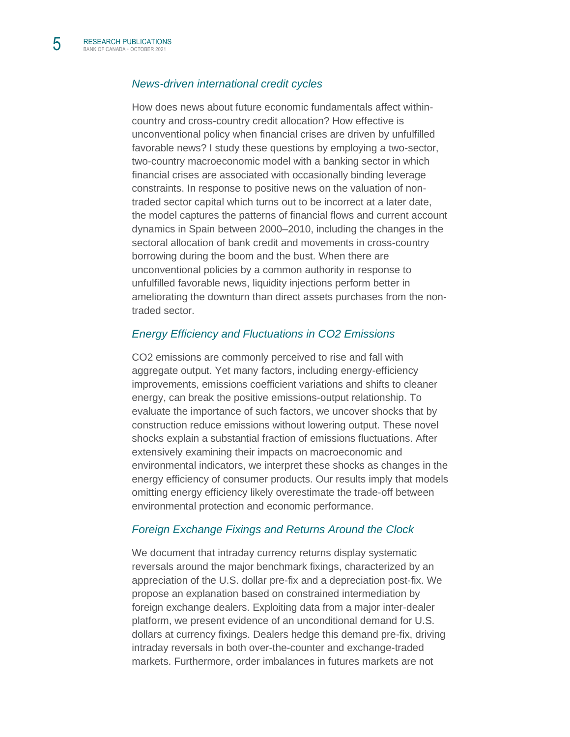#### *[News-driven international credit cycles](https://www.sciencedirect.com/science/article/pii/S0164070421000719)*

How does news about future economic fundamentals affect withincountry and cross-country credit allocation? How effective is unconventional policy when financial crises are driven by unfulfilled favorable news? I study these questions by employing a two-sector, two-country macroeconomic model with a banking sector in which financial crises are associated with occasionally binding leverage constraints. In response to positive news on the valuation of nontraded sector capital which turns out to be incorrect at a later date, the model captures the patterns of financial flows and current account dynamics in Spain between 2000–2010, including the changes in the sectoral allocation of bank credit and movements in cross-country borrowing during the boom and the bust. When there are unconventional policies by a common authority in response to unfulfilled favorable news, liquidity injections perform better in ameliorating the downturn than direct assets purchases from the nontraded sector.

#### *[Energy Efficiency and Fluctuations in CO2 Emissions](https://www.bankofcanada.ca/2021/10/staff-working-paper-2021-47/)*

CO2 emissions are commonly perceived to rise and fall with aggregate output. Yet many factors, including energy-efficiency improvements, emissions coefficient variations and shifts to cleaner energy, can break the positive emissions-output relationship. To evaluate the importance of such factors, we uncover shocks that by construction reduce emissions without lowering output. These novel shocks explain a substantial fraction of emissions fluctuations. After extensively examining their impacts on macroeconomic and environmental indicators, we interpret these shocks as changes in the energy efficiency of consumer products. Our results imply that models omitting energy efficiency likely overestimate the trade-off between environmental protection and economic performance.

#### *[Foreign Exchange Fixings and Returns Around the Clock](https://www.bankofcanada.ca/2021/10/staff-working-paper-2021-48/)*

We document that intraday currency returns display systematic reversals around the major benchmark fixings, characterized by an appreciation of the U.S. dollar pre-fix and a depreciation post-fix. We propose an explanation based on constrained intermediation by foreign exchange dealers. Exploiting data from a major inter-dealer platform, we present evidence of an unconditional demand for U.S. dollars at currency fixings. Dealers hedge this demand pre-fix, driving intraday reversals in both over-the-counter and exchange-traded markets. Furthermore, order imbalances in futures markets are not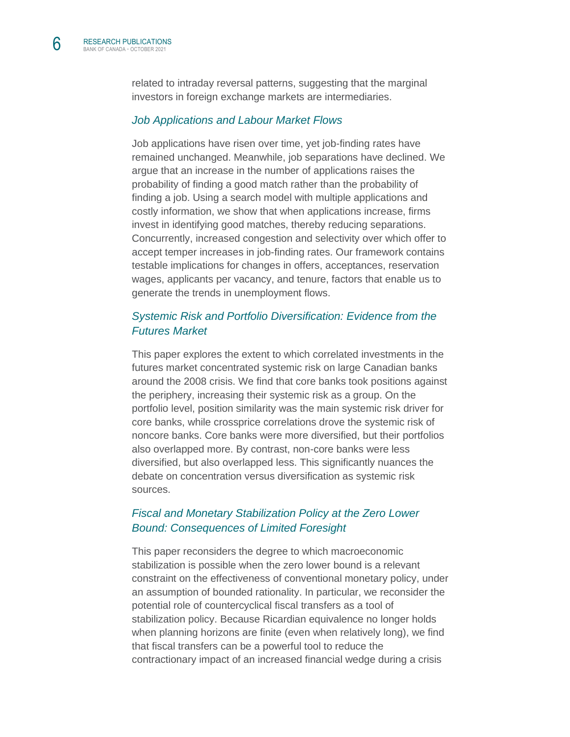related to intraday reversal patterns, suggesting that the marginal investors in foreign exchange markets are intermediaries.

#### *[Job Applications and Labour Market Flows](https://www.bankofcanada.ca/2021/10/staff-working-paper-2021-49/)*

Job applications have risen over time, yet job-finding rates have remained unchanged. Meanwhile, job separations have declined. We argue that an increase in the number of applications raises the probability of finding a good match rather than the probability of finding a job. Using a search model with multiple applications and costly information, we show that when applications increase, firms invest in identifying good matches, thereby reducing separations. Concurrently, increased congestion and selectivity over which offer to accept temper increases in job-finding rates. Our framework contains testable implications for changes in offers, acceptances, reservation wages, applicants per vacancy, and tenure, factors that enable us to generate the trends in unemployment flows.

#### *[Systemic Risk and Portfolio Diversification: Evidence from the](https://www.bankofcanada.ca/2021/10/staff-working-paper-2021-50/)  [Futures Market](https://www.bankofcanada.ca/2021/10/staff-working-paper-2021-50/)*

This paper explores the extent to which correlated investments in the futures market concentrated systemic risk on large Canadian banks around the 2008 crisis. We find that core banks took positions against the periphery, increasing their systemic risk as a group. On the portfolio level, position similarity was the main systemic risk driver for core banks, while crossprice correlations drove the systemic risk of noncore banks. Core banks were more diversified, but their portfolios also overlapped more. By contrast, non-core banks were less diversified, but also overlapped less. This significantly nuances the debate on concentration versus diversification as systemic risk sources.

#### *[Fiscal and Monetary Stabilization Policy at the Zero Lower](https://www.bankofcanada.ca/2021/10/staff-working-paper-2021-51/)  [Bound: Consequences of Limited Foresight](https://www.bankofcanada.ca/2021/10/staff-working-paper-2021-51/)*

This paper reconsiders the degree to which macroeconomic stabilization is possible when the zero lower bound is a relevant constraint on the effectiveness of conventional monetary policy, under an assumption of bounded rationality. In particular, we reconsider the potential role of countercyclical fiscal transfers as a tool of stabilization policy. Because Ricardian equivalence no longer holds when planning horizons are finite (even when relatively long), we find that fiscal transfers can be a powerful tool to reduce the contractionary impact of an increased financial wedge during a crisis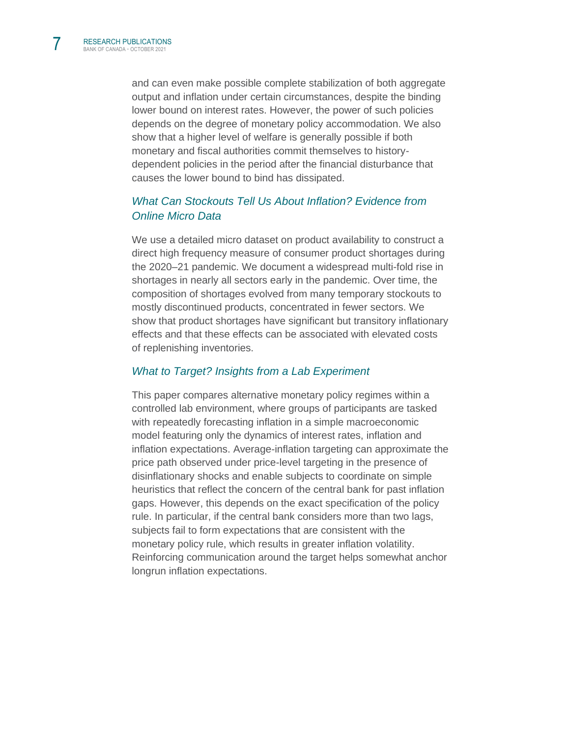and can even make possible complete stabilization of both aggregate output and inflation under certain circumstances, despite the binding lower bound on interest rates. However, the power of such policies depends on the degree of monetary policy accommodation. We also show that a higher level of welfare is generally possible if both monetary and fiscal authorities commit themselves to historydependent policies in the period after the financial disturbance that causes the lower bound to bind has dissipated.

#### *[What Can Stockouts Tell Us About Inflation? Evidence from](https://www.bankofcanada.ca/2021/10/staff-working-paper-2021-52/)  [Online Micro Data](https://www.bankofcanada.ca/2021/10/staff-working-paper-2021-52/)*

We use a detailed micro dataset on product availability to construct a direct high frequency measure of consumer product shortages during the 2020–21 pandemic. We document a widespread multi-fold rise in shortages in nearly all sectors early in the pandemic. Over time, the composition of shortages evolved from many temporary stockouts to mostly discontinued products, concentrated in fewer sectors. We show that product shortages have significant but transitory inflationary effects and that these effects can be associated with elevated costs of replenishing inventories.

#### *[What to Target? Insights from a Lab Experiment](https://www.bankofcanada.ca/2021/10/staff-working-paper-2021-53/)*

This paper compares alternative monetary policy regimes within a controlled lab environment, where groups of participants are tasked with repeatedly forecasting inflation in a simple macroeconomic model featuring only the dynamics of interest rates, inflation and inflation expectations. Average-inflation targeting can approximate the price path observed under price-level targeting in the presence of disinflationary shocks and enable subjects to coordinate on simple heuristics that reflect the concern of the central bank for past inflation gaps. However, this depends on the exact specification of the policy rule. In particular, if the central bank considers more than two lags, subjects fail to form expectations that are consistent with the monetary policy rule, which results in greater inflation volatility. Reinforcing communication around the target helps somewhat anchor longrun inflation expectations.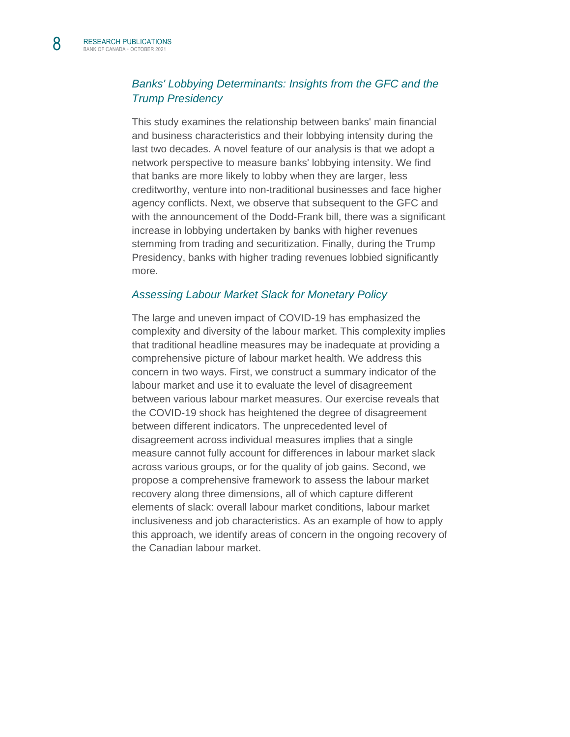#### *[Banks' Lobbying Determinants: Insights from the GFC and the](https://papers.ssrn.com/sol3/papers.cfm?abstract_id=1785435)  [Trump Presidency](https://papers.ssrn.com/sol3/papers.cfm?abstract_id=1785435)*

This study examines the relationship between banks' main financial and business characteristics and their lobbying intensity during the last two decades. A novel feature of our analysis is that we adopt a network perspective to measure banks' lobbying intensity. We find that banks are more likely to lobby when they are larger, less creditworthy, venture into non-traditional businesses and face higher agency conflicts. Next, we observe that subsequent to the GFC and with the announcement of the Dodd-Frank bill, there was a significant increase in lobbying undertaken by banks with higher revenues stemming from trading and securitization. Finally, during the Trump Presidency, banks with higher trading revenues lobbied significantly more.

#### *[Assessing Labour Market Slack for Monetary Policy](https://www.bankofcanada.ca/2021/10/staff-discussion-paper-2021-15/)*

The large and uneven impact of COVID-19 has emphasized the complexity and diversity of the labour market. This complexity implies that traditional headline measures may be inadequate at providing a comprehensive picture of labour market health. We address this concern in two ways. First, we construct a summary indicator of the labour market and use it to evaluate the level of disagreement between various labour market measures. Our exercise reveals that the COVID-19 shock has heightened the degree of disagreement between different indicators. The unprecedented level of disagreement across individual measures implies that a single measure cannot fully account for differences in labour market slack across various groups, or for the quality of job gains. Second, we propose a comprehensive framework to assess the labour market recovery along three dimensions, all of which capture different elements of slack: overall labour market conditions, labour market inclusiveness and job characteristics. As an example of how to apply this approach, we identify areas of concern in the ongoing recovery of the Canadian labour market.